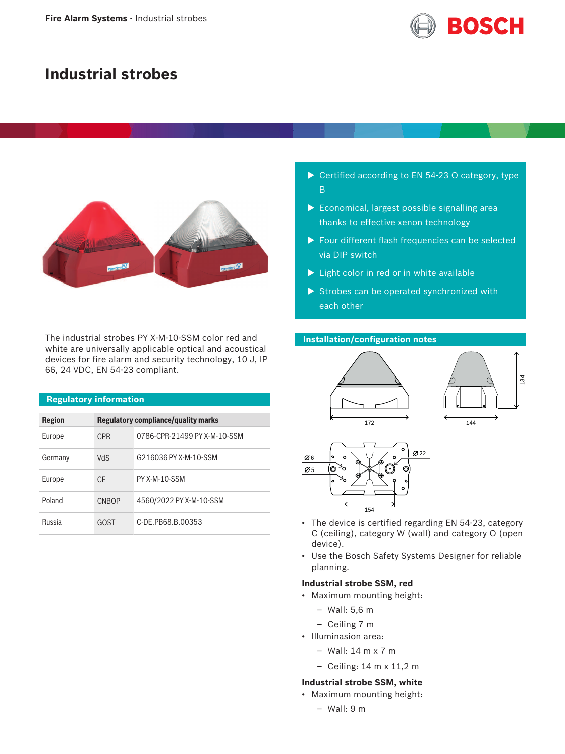

# **Industrial strobes**



The industrial strobes PY X-M-10-SSM color red and white are universally applicable optical and acoustical devices for fire alarm and security technology, 10 J, IP 66, 24 VDC, EN 54-23 compliant.

| <b>Regulatory information</b> |            |                                     |
|-------------------------------|------------|-------------------------------------|
| <b>Region</b>                 |            | Regulatory compliance/quality marks |
| Europe                        | <b>CPR</b> | 0786-CPR-21499 PY X-M-10-SSM        |
| Germany                       | <b>VdS</b> | G216036 PY X-M-10-SSM               |
| Europe                        | <b>CF</b>  | PY X-M-10-SSM                       |
| Poland                        | CNBOP      | 4560/2022 PY X-M-10-SSM             |
| Russia                        | GOST       | C-DE PB68 B 00353                   |

- $\triangleright$  Certified according to EN 54-23 O category, type B
- $\triangleright$  Economical, largest possible signalling area thanks to effective xenon technology
- $\blacktriangleright$  Four different flash frequencies can be selected via DIP switch
- $\blacktriangleright$  Light color in red or in white available
- $\triangleright$  Strobes can be operated synchronized with each other

### **Installation/configuration notes**





- The device is certified regarding EN 54-23, category C (ceiling), category W (wall) and category O (open device).
- Use the Bosch Safety Systems Designer for reliable planning.

#### **Industrial strobe SSM, red**

- Maximum mounting height:
	- Wall: 5,6 m
	- Ceiling 7 m
- Illuminasion area:
	- Wall: 14 m x 7 m
	- Ceiling: 14 m x 11,2 m

### **Industrial strobe SSM, white**

- Maximum mounting height:
	- Wall: 9 m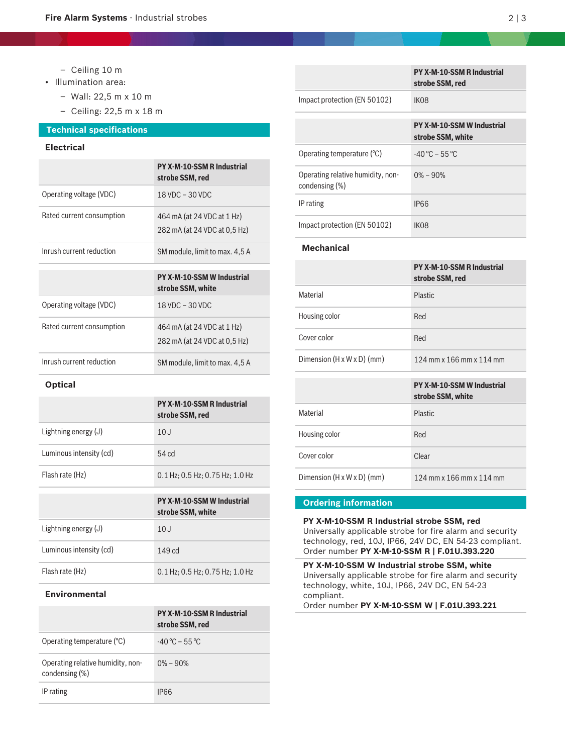- Ceiling 10 m
- Illumination area:
	- Wall: 22,5 m x 10 m
	- Ceiling: 22,5 m x 18 m

### **Technical specifications**

#### **Electrical**

|                           | <b>PY X-M-10-SSM R Industrial</b><br>strobe SSM, red       |
|---------------------------|------------------------------------------------------------|
| Operating voltage (VDC)   | $18$ VDC $-$ 30 VDC                                        |
| Rated current consumption | 464 mA (at 24 VDC at 1 Hz)<br>282 mA (at 24 VDC at 0.5 Hz) |
| Inrush current reduction  | SM module, limit to max. 4,5 A                             |
|                           |                                                            |
|                           |                                                            |
|                           | <b>PY X-M-10-SSM W Industrial</b><br>strobe SSM, white     |
| Operating voltage (VDC)   | 18 VDC - 30 VDC                                            |
| Rated current consumption | 464 mA (at 24 VDC at 1 Hz)<br>282 mA (at 24 VDC at 0.5 Hz) |

#### **Optical**

|                         | <b>PY X-M-10-SSM R Industrial</b><br>strobe SSM, red |
|-------------------------|------------------------------------------------------|
| Lightning energy $(J)$  | 10J                                                  |
| Luminous intensity (cd) | 54 <sub>cd</sub>                                     |
| Flash rate (Hz)         | $0.1$ Hz: 0.5 Hz: 0.75 Hz: 1.0 Hz                    |
|                         | <b>PY X-M-10-SSM W Industrial</b>                    |

|                         | strobe SSM, white                 |
|-------------------------|-----------------------------------|
| Lightning energy (J)    | 10J                               |
| Luminous intensity (cd) | 149 <sub>cd</sub>                 |
| Flash rate (Hz)         | $0.1$ Hz; 0.5 Hz; 0.75 Hz; 1.0 Hz |

#### **Environmental**

|                                                     | <b>PY X-M-10-SSM R Industrial</b><br>strobe SSM, red |
|-----------------------------------------------------|------------------------------------------------------|
| Operating temperature (°C)                          | $-40\,^{\circ}\text{C} - 55\,^{\circ}\text{C}$       |
| Operating relative humidity, non-<br>condensing (%) | $0\% - 90\%$                                         |
| IP rating                                           | IP66                                                 |

|                                                     | <b>PY X-M-10-SSM R Industrial</b><br>strobe SSM, red   |
|-----------------------------------------------------|--------------------------------------------------------|
| Impact protection (EN 50102)                        | IK <sub>08</sub>                                       |
|                                                     |                                                        |
|                                                     | <b>PY X-M-10-SSM W Industrial</b><br>strobe SSM, white |
| Operating temperature $(°C)$                        | $-40\degree C - 55\degree C$                           |
| Operating relative humidity, non-<br>condensing (%) | $0\% - 90\%$                                           |
| IP rating                                           | <b>IP66</b>                                            |
| Impact protection (EN 50102)                        | IK <sub>08</sub>                                       |

## **Mechanical**

|                                        | <b>PY X-M-10-SSM R Industrial</b><br>strobe SSM, red   |
|----------------------------------------|--------------------------------------------------------|
| Material                               | <b>Plastic</b>                                         |
| Housing color                          | Red                                                    |
| Cover color                            | Red                                                    |
| Dimension $(H \times W \times D)$ (mm) | 124 mm x 166 mm x 114 mm                               |
|                                        |                                                        |
|                                        |                                                        |
|                                        | <b>PY X-M-10-SSM W Industrial</b><br>strobe SSM, white |
| Material                               | Plastic                                                |
| Housing color                          | Red                                                    |
| Cover color                            | Clear                                                  |

#### **Ordering information**

**PY X-M-10-SSM R Industrial strobe SSM, red** Universally applicable strobe for fire alarm and security technology, red, 10J, IP66, 24V DC, EN 54-23 compliant. Order number **PY X-M-10-SSM R | F.01U.393.220**

**PY X-M-10-SSM W Industrial strobe SSM, white** Universally applicable strobe for fire alarm and security technology, white, 10J, IP66, 24V DC, EN 54-23 compliant. Order number **PY X-M-10-SSM W | F.01U.393.221**